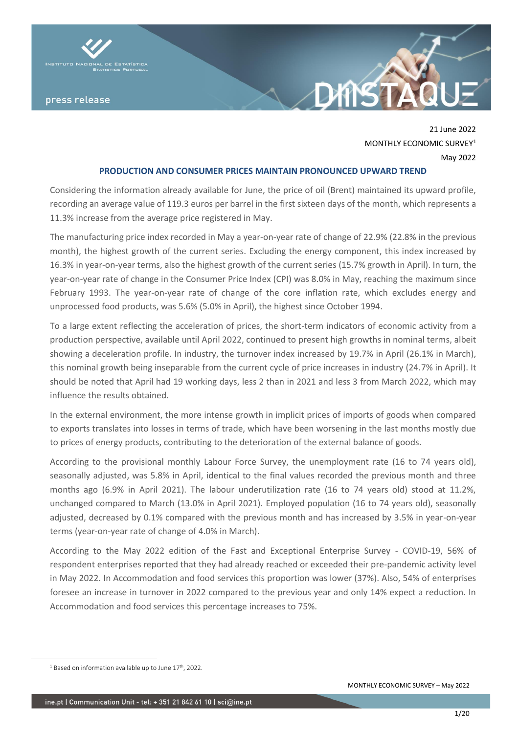

21 June 2022 MONTHLY FCONOMIC SURVEY<sup>1</sup> May 2022

**DAYS** 

#### **PRODUCTION AND CONSUMER PRICES MAINTAIN PRONOUNCED UPWARD TREND**

Considering the information already available for June, the price of oil (Brent) maintained its upward profile, recording an average value of 119.3 euros per barrel in the first sixteen days of the month, which represents a 11.3% increase from the average price registered in May.

The manufacturing price index recorded in May a year-on-year rate of change of 22.9% (22.8% in the previous month), the highest growth of the current series. Excluding the energy component, this index increased by 16.3% in year-on-year terms, also the highest growth of the current series (15.7% growth in April). In turn, the year-on-year rate of change in the Consumer Price Index (CPI) was 8.0% in May, reaching the maximum since February 1993. The year-on-year rate of change of the core inflation rate, which excludes energy and unprocessed food products, was 5.6% (5.0% in April), the highest since October 1994.

To a large extent reflecting the acceleration of prices, the short-term indicators of economic activity from a production perspective, available until April 2022, continued to present high growths in nominal terms, albeit showing a deceleration profile. In industry, the turnover index increased by 19.7% in April (26.1% in March), this nominal growth being inseparable from the current cycle of price increases in industry (24.7% in April). It should be noted that April had 19 working days, less 2 than in 2021 and less 3 from March 2022, which may influence the results obtained.

In the external environment, the more intense growth in implicit prices of imports of goods when compared to exports translates into losses in terms of trade, which have been worsening in the last months mostly due to prices of energy products, contributing to the deterioration of the external balance of goods.

According to the provisional monthly Labour Force Survey, the unemployment rate (16 to 74 years old), seasonally adjusted, was 5.8% in April, identical to the final values recorded the previous month and three months ago (6.9% in April 2021). The labour underutilization rate (16 to 74 years old) stood at 11.2%, unchanged compared to March (13.0% in April 2021). Employed population (16 to 74 years old), seasonally adjusted, decreased by 0.1% compared with the previous month and has increased by 3.5% in year-on-year terms (year-on-year rate of change of 4.0% in March).

According to the May 2022 edition of the Fast and Exceptional Enterprise Survey - COVID-19, 56% of respondent enterprises reported that they had already reached or exceeded their pre-pandemic activity level in May 2022. In Accommodation and food services this proportion was lower (37%). Also, 54% of enterprises foresee an increase in turnover in 2022 compared to the previous year and only 14% expect a reduction. In Accommodation and food services this percentage increases to 75%.

 $1$  Based on information available up to June  $17<sup>th</sup>$ , 2022.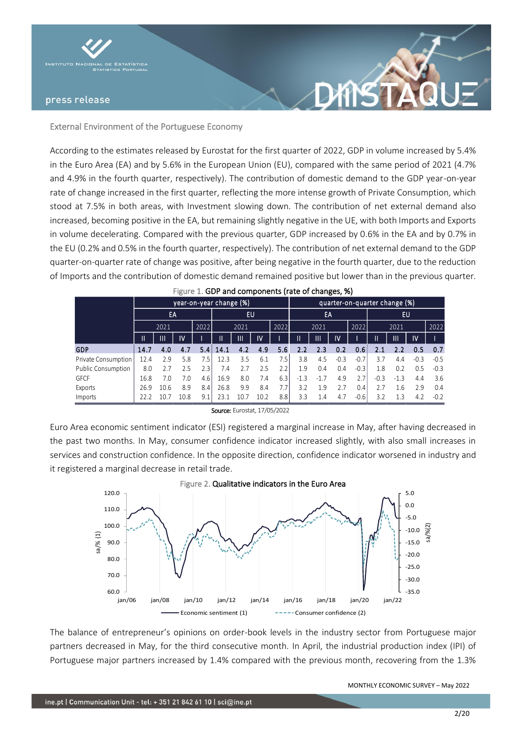

## External Environment of the Portuguese Economy

According to the estimates released by Eurostat for the first quarter of 2022, GDP in volume increased by 5.4% in the Euro Area (EA) and by 5.6% in the European Union (EU), compared with the same period of 2021 (4.7% and 4.9% in the fourth quarter, respectively). The contribution of domestic demand to the GDP year-on-year rate of change increased in the first quarter, reflecting the more intense growth of Private Consumption, which stood at 7.5% in both areas, with Investment slowing down. The contribution of net external demand also increased, becoming positive in the EA, but remaining slightly negative in the UE, with both Imports and Exports in volume decelerating. Compared with the previous quarter, GDP increased by 0.6% in the EA and by 0.7% in the EU (0.2% and 0.5% in the fourth quarter, respectively). The contribution of net external demand to the GDP quarter-on-quarter rate of change was positive, after being negative in the fourth quarter, due to the reduction of Imports and the contribution of domestic demand remained positive but lower than in the previous quarter.

**DAYS** 

|                     | year-on-year change (%), |              |      |      |      |                      |      |      |        |        | quarter-on-quarter change (%) |        |        |        |        |        |  |  |  |  |
|---------------------|--------------------------|--------------|------|------|------|----------------------|------|------|--------|--------|-------------------------------|--------|--------|--------|--------|--------|--|--|--|--|
|                     |                          | EA           |      |      |      | <b>EU</b>            |      |      |        | EA     |                               |        | EU     |        |        |        |  |  |  |  |
|                     |                          | 2021         |      | 2022 |      | 2021                 |      | 2022 |        | 2021   |                               | 2022   |        | 2021   |        | 2022   |  |  |  |  |
|                     | Ш                        | $\mathbf{H}$ | IV   |      | Ш    | ١V<br>$\mathbf{III}$ |      |      | Ш<br>Ш |        | $\mathsf{IV}$                 |        |        | Ш      | IV.    |        |  |  |  |  |
| GDP                 | 14.7                     | 4.0          | 4.7  | 5.4  | 14.1 | 4.2                  | 4.9  | 5.6  | 2.2    | 2.3    | 0.2                           | 0.6%   | 2.1    |        | 0.5    | 0.7    |  |  |  |  |
| Private Consumption | 12.4                     | 2.9          | 5.8  | 7.5  | 12.3 | 3.5                  | 6.1  | 7.5  | 3.8    | 4.5    | $-0.3$                        | $-0.7$ | 3.7    | 4.4    | $-0.3$ | $-0.5$ |  |  |  |  |
| Public Consumption  | 8.0                      |              | 2.5  | 2.3  | 7.4  | 2.7                  | 2.5  | 2.2  | 1.9    | 0.4    | 0.4                           | $-0.3$ | 1.8    | 0.2    | 0.5    | $-0.3$ |  |  |  |  |
| <b>GFCF</b>         | 16.8                     | 7.0          | 7.0  | 4.6  | 16.9 | 8.0                  | 7.4  | 6.3  | $-1.3$ | $-1.7$ | 4.9                           | 2.7    | $-0.3$ | $-1.3$ | 4.4    | 3.6    |  |  |  |  |
| Exports             | 26.9                     | 10.6         | 8.9  | 8.4  | 26.8 | 9.9                  | 8.4  | 7.7  | 3.2    | 1.9    | 2.7                           | 0.4    | 2.7    | 1.6    | 2.9    | 0.4    |  |  |  |  |
| Imports             | 22.2                     | 10.7         | 10.8 | 9.1  | 23.1 | 10.7                 | 10.2 | 8.8  | 3.3    | 1.4    | 4.7                           | $-0.6$ | 3.2    | 1.3    | 4.2    | $-0.2$ |  |  |  |  |

| Source: Eurostat, 17/05/2022 |  |
|------------------------------|--|
|------------------------------|--|

Euro Area economic sentiment indicator (ESI) registered a marginal increase in May, after having decreased in the past two months. In May, consumer confidence indicator increased slightly, with also small increases in services and construction confidence. In the opposite direction, confidence indicator worsened in industry and it registered a marginal decrease in retail trade.



The balance of entrepreneur's opinions on order-book levels in the industry sector from Portuguese major partners decreased in May, for the third consecutive month. In April, the industrial production index (IPI) of Portuguese major partners increased by 1.4% compared with the previous month, recovering from the 1.3%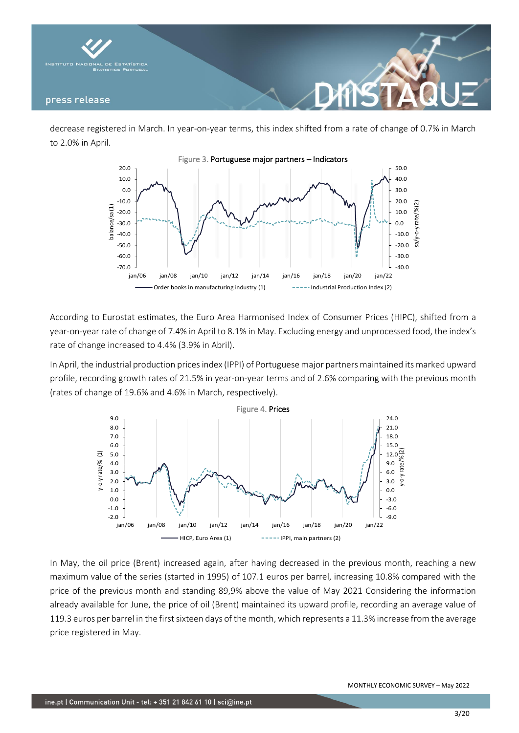

decrease registered in March. In year-on-year terms, this index shifted from a rate of change of 0.7% in March to 2.0% in April.



According to Eurostat estimates, the Euro Area Harmonised Index of Consumer Prices (HIPC), shifted from a year-on-year rate of change of 7.4% in April to 8.1% in May. Excluding energy and unprocessed food, the index's rate of change increased to 4.4% (3.9% in Abril).

In April, the industrial production prices index (IPPI) of Portuguese major partners maintained its marked upward profile, recording growth rates of 21.5% in year-on-year terms and of 2.6% comparing with the previous month (rates of change of 19.6% and 4.6% in March, respectively).



In May, the oil price (Brent) increased again, after having decreased in the previous month, reaching a new maximum value of the series (started in 1995) of 107.1 euros per barrel, increasing 10.8% compared with the price of the previous month and standing 89,9% above the value of May 2021 Considering the information already available for June, the price of oil (Brent) maintained its upward profile, recording an average value of 119.3 euros per barrel in the first sixteen days of the month, which represents a 11.3% increase from the average price registered in May.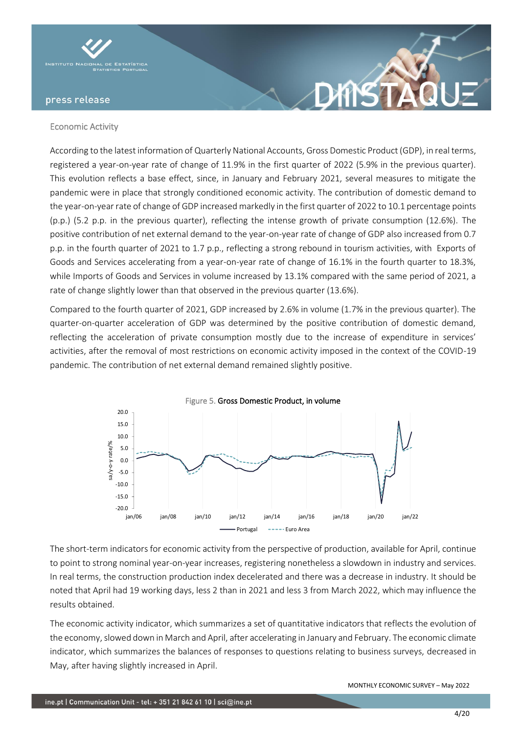

## Economic Activity

According to the latest information of Quarterly National Accounts, Gross Domestic Product (GDP), in real terms, registered a year-on-year rate of change of 11.9% in the first quarter of 2022 (5.9% in the previous quarter). This evolution reflects a base effect, since, in January and February 2021, several measures to mitigate the pandemic were in place that strongly conditioned economic activity. The contribution of domestic demand to the year-on-year rate of change of GDP increased markedly in the first quarter of 2022 to 10.1 percentage points (p.p.) (5.2 p.p. in the previous quarter), reflecting the intense growth of private consumption (12.6%). The positive contribution of net external demand to the year-on-year rate of change of GDP also increased from 0.7 p.p. in the fourth quarter of 2021 to 1.7 p.p., reflecting a strong rebound in tourism activities, with Exports of Goods and Services accelerating from a year-on-year rate of change of 16.1% in the fourth quarter to 18.3%, while Imports of Goods and Services in volume increased by 13.1% compared with the same period of 2021, a rate of change slightly lower than that observed in the previous quarter (13.6%).

DYNST

Compared to the fourth quarter of 2021, GDP increased by 2.6% in volume (1.7% in the previous quarter). The quarter-on-quarter acceleration of GDP was determined by the positive contribution of domestic demand, reflecting the acceleration of private consumption mostly due to the increase of expenditure in services' activities, after the removal of most restrictions on economic activity imposed in the context of the COVID-19 pandemic. The contribution of net external demand remained slightly positive.



The short-term indicators for economic activity from the perspective of production, available for April, continue to point to strong nominal year-on-year increases, registering nonetheless a slowdown in industry and services. In real terms, the construction production index decelerated and there was a decrease in industry. It should be noted that April had 19 working days, less 2 than in 2021 and less 3 from March 2022, which may influence the results obtained.

The economic activity indicator, which summarizes a set of quantitative indicators that reflects the evolution of the economy, slowed down in March and April, after accelerating in January and February. The economic climate indicator, which summarizes the balances of responses to questions relating to business surveys, decreased in May, after having slightly increased in April.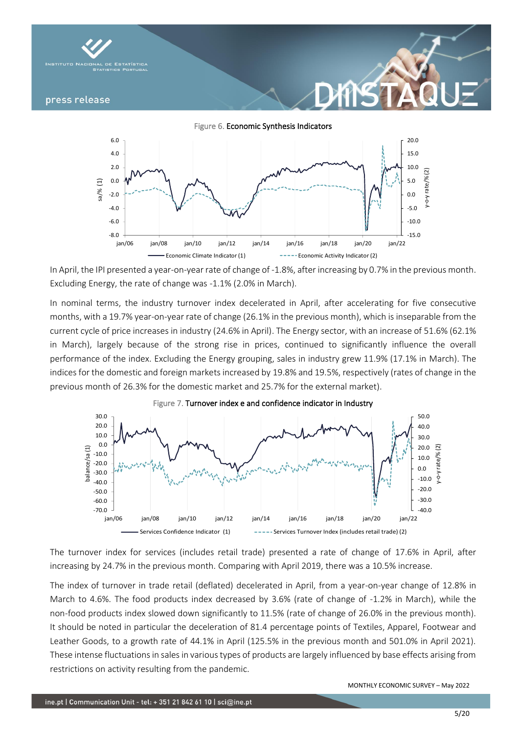

Figure 6. Economic Synthesis Indicators



In April, the IPI presented a year-on-year rate of change of -1.8%, after increasing by 0.7% in the previous month. Excluding Energy, the rate of change was -1.1% (2.0% in March).

In nominal terms, the industry turnover index decelerated in April, after accelerating for five consecutive months, with a 19.7% year-on-year rate of change (26.1% in the previous month), which is inseparable from the current cycle of price increases in industry (24.6% in April). The Energy sector, with an increase of 51.6% (62.1% in March), largely because of the strong rise in prices, continued to significantly influence the overall performance of the index. Excluding the Energy grouping, sales in industry grew 11.9% (17.1% in March). The indices for the domestic and foreign markets increased by 19.8% and 19.5%, respectively (rates of change in the previous month of 26.3% for the domestic market and 25.7% for the external market).





The turnover index for services (includes retail trade) presented a rate of change of 17.6% in April, after increasing by 24.7% in the previous month. Comparing with April 2019, there was a 10.5% increase.

The index of turnover in trade retail (deflated) decelerated in April, from a year-on-year change of 12.8% in March to 4.6%. The food products index decreased by 3.6% (rate of change of -1.2% in March), while the non-food products index slowed down significantly to 11.5% (rate of change of 26.0% in the previous month). It should be noted in particular the deceleration of 81.4 percentage points of Textiles, Apparel, Footwear and Leather Goods, to a growth rate of 44.1% in April (125.5% in the previous month and 501.0% in April 2021). These intense fluctuations in sales in various types of products are largely influenced by base effects arising from restrictions on activity resulting from the pandemic.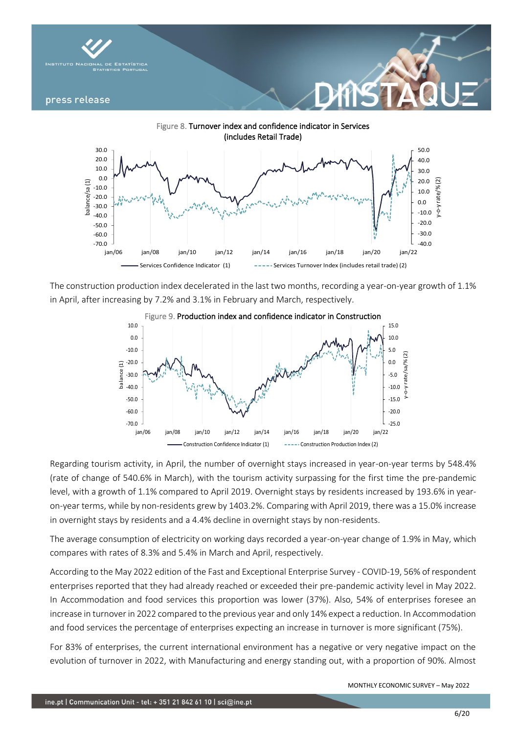



The construction production index decelerated in the last two months, recording a year-on-year growth of 1.1% in April, after increasing by 7.2% and 3.1% in February and March, respectively.



Regarding tourism activity, in April, the number of overnight stays increased in year-on-year terms by 548.4% (rate of change of 540.6% in March), with the tourism activity surpassing for the first time the pre-pandemic level, with a growth of 1.1% compared to April 2019. Overnight stays by residents increased by 193.6% in yearon-year terms, while by non-residents grew by 1403.2%. Comparing with April 2019, there was a 15.0% increase in overnight stays by residents and a 4.4% decline in overnight stays by non-residents.

The average consumption of electricity on working days recorded a year-on-year change of 1.9% in May, which compares with rates of 8.3% and 5.4% in March and April, respectively.

According to the May 2022 edition of the Fast and Exceptional Enterprise Survey - COVID-19, 56% of respondent enterprises reported that they had already reached or exceeded their pre-pandemic activity level in May 2022. In Accommodation and food services this proportion was lower (37%). Also, 54% of enterprises foresee an increase in turnover in 2022 compared to the previous year and only 14% expect a reduction. In Accommodation and food services the percentage of enterprises expecting an increase in turnover is more significant (75%).

For 83% of enterprises, the current international environment has a negative or very negative impact on the evolution of turnover in 2022, with Manufacturing and energy standing out, with a proportion of 90%. Almost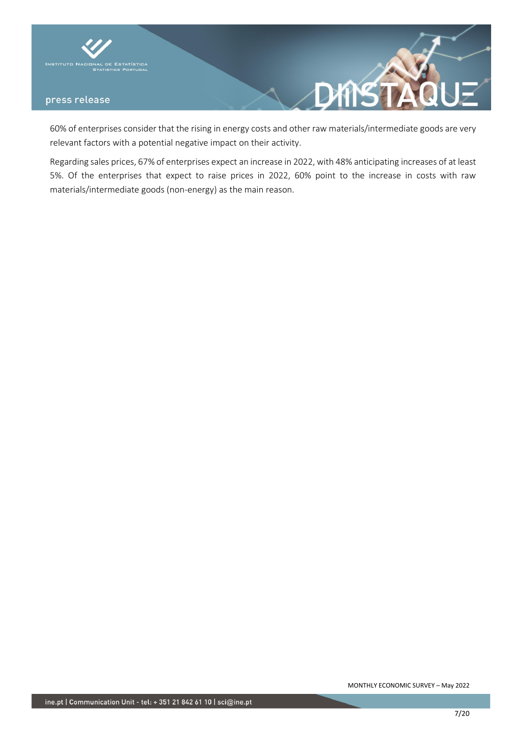

60% of enterprises consider that the rising in energy costs and other raw materials/intermediate goods are very relevant factors with a potential negative impact on their activity.

게

Regarding sales prices, 67% of enterprises expect an increase in 2022, with 48% anticipating increases of at least 5%. Of the enterprises that expect to raise prices in 2022, 60% point to the increase in costs with raw materials/intermediate goods (non-energy) as the main reason.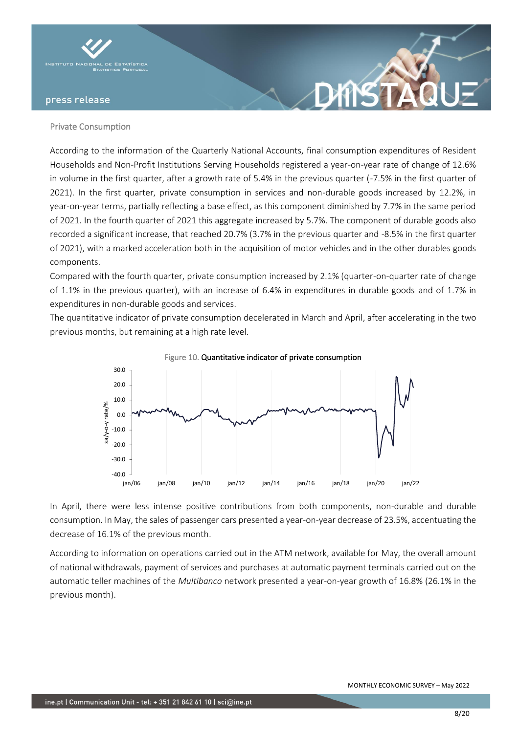

### Private Consumption

According to the information of the Quarterly National Accounts, final consumption expenditures of Resident Households and Non-Profit Institutions Serving Households registered a year-on-year rate of change of 12.6% in volume in the first quarter, after a growth rate of 5.4% in the previous quarter (-7.5% in the first quarter of 2021). In the first quarter, private consumption in services and non-durable goods increased by 12.2%, in year-on-year terms, partially reflecting a base effect, as this component diminished by 7.7% in the same period of 2021. In the fourth quarter of 2021 this aggregate increased by 5.7%. The component of durable goods also recorded a significant increase, that reached 20.7% (3.7% in the previous quarter and -8.5% in the first quarter of 2021), with a marked acceleration both in the acquisition of motor vehicles and in the other durables goods components.

**DANS** 

Compared with the fourth quarter, private consumption increased by 2.1% (quarter-on-quarter rate of change of 1.1% in the previous quarter), with an increase of 6.4% in expenditures in durable goods and of 1.7% in expenditures in non-durable goods and services.

The quantitative indicator of private consumption decelerated in March and April, after accelerating in the two previous months, but remaining at a high rate level.



Figure 10. Quantitative indicator of private consumption

In April, there were less intense positive contributions from both components, non-durable and durable consumption. In May, the sales of passenger cars presented a year-on-year decrease of 23.5%, accentuating the decrease of 16.1% of the previous month.

According to information on operations carried out in the ATM network, available for May, the overall amount of national withdrawals, payment of services and purchases at automatic payment terminals carried out on the automatic teller machines of the *Multibanco* network presented a year-on-year growth of 16.8% (26.1% in the previous month).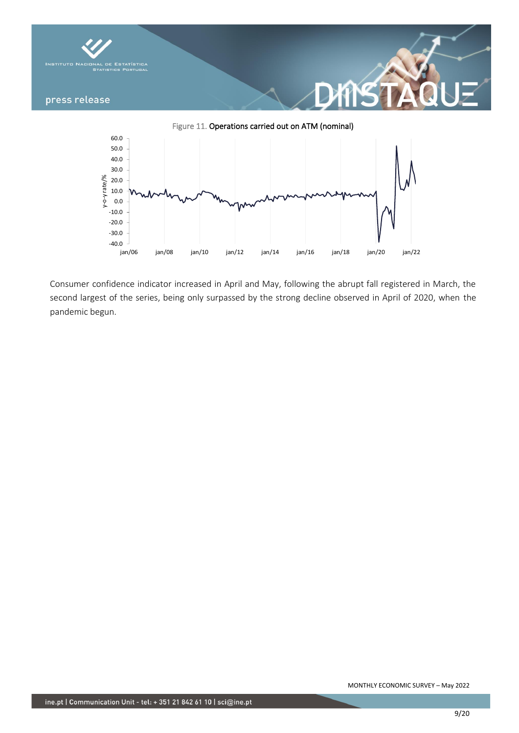

jan/06 jan/08 jan/10 jan/12 jan/14 jan/16 jan/18 jan/20 jan/22

Consumer confidence indicator increased in April and May, following the abrupt fall registered in March, the second largest of the series, being only surpassed by the strong decline observed in April of 2020, when the pandemic begun.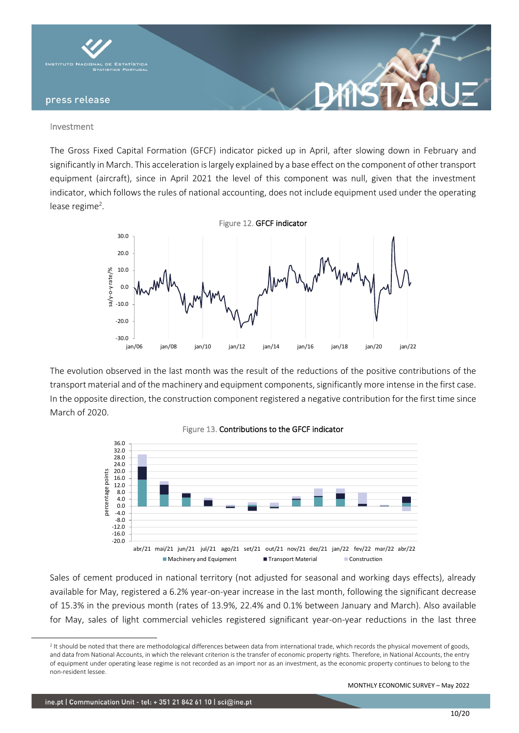

#### Investment

The Gross Fixed Capital Formation (GFCF) indicator picked up in April, after slowing down in February and significantly in March. This acceleration is largely explained by a base effect on the component of other transport equipment (aircraft), since in April 2021 the level of this component was null, given that the investment indicator, which follows the rules of national accounting, does not include equipment used under the operating lease regime<sup>2</sup>.



The evolution observed in the last month was the result of the reductions of the positive contributions of the transport material and of the machinery and equipment components, significantly more intense in the first case. In the opposite direction, the construction component registered a negative contribution for the first time since March of 2020.





Sales of cement produced in national territory (not adjusted for seasonal and working days effects), already available for May, registered a 6.2% year-on-year increase in the last month, following the significant decrease of 15.3% in the previous month (rates of 13.9%, 22.4% and 0.1% between January and March). Also available for May, sales of light commercial vehicles registered significant year-on-year reductions in the last three

<sup>&</sup>lt;sup>2</sup> It should be noted that there are methodological differences between data from international trade, which records the physical movement of goods, and data from National Accounts, in which the relevant criterion is the transfer of economic property rights. Therefore, in National Accounts, the entry of equipment under operating lease regime is not recorded as an import nor as an investment, as the economic property continues to belong to the non-resident lessee.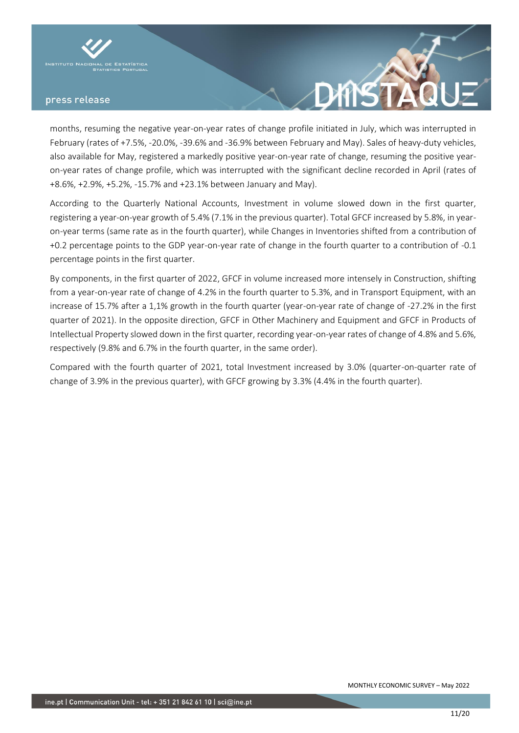



months, resuming the negative year-on-year rates of change profile initiated in July, which was interrupted in February (rates of +7.5%, -20.0%, -39.6% and -36.9% between February and May). Sales of heavy-duty vehicles, also available for May, registered a markedly positive year-on-year rate of change, resuming the positive yearon-year rates of change profile, which was interrupted with the significant decline recorded in April (rates of +8.6%, +2.9%, +5.2%, -15.7% and +23.1% between January and May).

According to the Quarterly National Accounts, Investment in volume slowed down in the first quarter, registering a year-on-year growth of 5.4% (7.1% in the previous quarter). Total GFCF increased by 5.8%, in yearon-year terms (same rate as in the fourth quarter), while Changes in Inventories shifted from a contribution of +0.2 percentage points to the GDP year-on-year rate of change in the fourth quarter to a contribution of -0.1 percentage points in the first quarter.

By components, in the first quarter of 2022, GFCF in volume increased more intensely in Construction, shifting from a year-on-year rate of change of 4.2% in the fourth quarter to 5.3%, and in Transport Equipment, with an increase of 15.7% after a 1,1% growth in the fourth quarter (year-on-year rate of change of -27.2% in the first quarter of 2021). In the opposite direction, GFCF in Other Machinery and Equipment and GFCF in Products of Intellectual Property slowed down in the first quarter, recording year-on-year rates of change of 4.8% and 5.6%, respectively (9.8% and 6.7% in the fourth quarter, in the same order).

Compared with the fourth quarter of 2021, total Investment increased by 3.0% (quarter-on-quarter rate of change of 3.9% in the previous quarter), with GFCF growing by 3.3% (4.4% in the fourth quarter).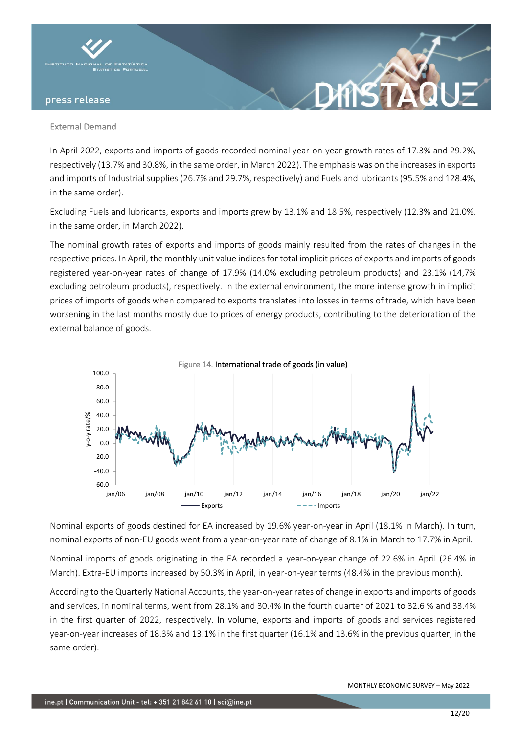

## External Demand

In April 2022, exports and imports of goods recorded nominal year-on-year growth rates of 17.3% and 29.2%, respectively (13.7% and 30.8%, in the same order, in March 2022). The emphasis was on the increases in exports and imports of Industrial supplies (26.7% and 29.7%, respectively) and Fuels and lubricants (95.5% and 128.4%, in the same order).

Excluding Fuels and lubricants, exports and imports grew by 13.1% and 18.5%, respectively (12.3% and 21.0%, in the same order, in March 2022).

The nominal growth rates of exports and imports of goods mainly resulted from the rates of changes in the respective prices. In April, the monthly unit value indices for total implicit prices of exports and imports of goods registered year-on-year rates of change of 17.9% (14.0% excluding petroleum products) and 23.1% (14,7% excluding petroleum products), respectively. In the external environment, the more intense growth in implicit prices of imports of goods when compared to exports translates into losses in terms of trade, which have been worsening in the last months mostly due to prices of energy products, contributing to the deterioration of the external balance of goods.



Nominal exports of goods destined for EA increased by 19.6% year-on-year in April (18.1% in March). In turn, nominal exports of non-EU goods went from a year-on-year rate of change of 8.1% in March to 17.7% in April.

Nominal imports of goods originating in the EA recorded a year-on-year change of 22.6% in April (26.4% in March). Extra-EU imports increased by 50.3% in April, in year-on-year terms (48.4% in the previous month).

According to the Quarterly National Accounts, the year-on-year rates of change in exports and imports of goods and services, in nominal terms, went from 28.1% and 30.4% in the fourth quarter of 2021 to 32.6 % and 33.4% in the first quarter of 2022, respectively. In volume, exports and imports of goods and services registered year-on-year increases of 18.3% and 13.1% in the first quarter (16.1% and 13.6% in the previous quarter, in the same order).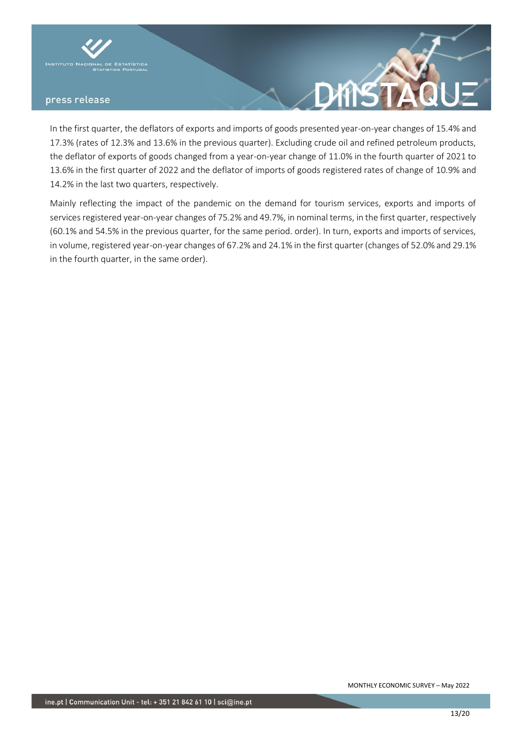



In the first quarter, the deflators of exports and imports of goods presented year-on-year changes of 15.4% and 17.3% (rates of 12.3% and 13.6% in the previous quarter). Excluding crude oil and refined petroleum products, the deflator of exports of goods changed from a year-on-year change of 11.0% in the fourth quarter of 2021 to 13.6% in the first quarter of 2022 and the deflator of imports of goods registered rates of change of 10.9% and 14.2% in the last two quarters, respectively.

Mainly reflecting the impact of the pandemic on the demand for tourism services, exports and imports of services registered year-on-year changes of 75.2% and 49.7%, in nominal terms, in the first quarter, respectively (60.1% and 54.5% in the previous quarter, for the same period. order). In turn, exports and imports of services, in volume, registered year-on-year changes of 67.2% and 24.1% in the first quarter (changes of 52.0% and 29.1% in the fourth quarter, in the same order).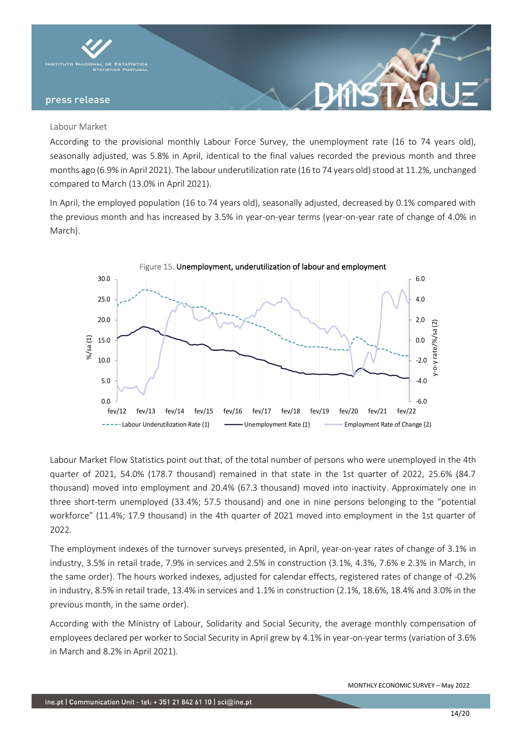

## Labour Market

According to the provisional monthly Labour Force Survey, the unemployment rate (16 to 74 years old), seasonally adjusted, was 5.8% in April, identical to the final values recorded the previous month and three months ago (6.9% in April 2021). The labour underutilization rate (16 to 74 years old) stood at 11.2%, unchanged compared to March (13.0% in April 2021).

DANS

In April, the employed population (16 to 74 years old), seasonally adjusted, decreased by 0.1% compared with the previous month and has increased by 3.5% in year-on-year terms (year-on-year rate of change of 4.0% in March).



Labour Market Flow Statistics point out that, of the total number of persons who were unemployed in the 4th quarter of 2021, 54.0% (178.7 thousand) remained in that state in the 1st quarter of 2022, 25.6% (84.7 thousand) moved into employment and 20.4% (67.3 thousand) moved into inactivity. Approximately one in three short-term unemployed (33.4%; 57.5 thousand) and one in nine persons belonging to the "potential workforce" (11.4%; 17.9 thousand) in the 4th quarter of 2021 moved into employment in the 1st quarter of 2022.

The employment indexes of the turnover surveys presented, in April, year-on-year rates of change of 3.1% in industry, 3.5% in retail trade, 7.9% in services and 2.5% in construction (3.1%, 4.3%, 7.6% e 2.3% in March, in the same order). The hours worked indexes, adjusted for calendar effects, registered rates of change of -0.2% in industry, 8.5% in retail trade, 13.4% in services and 1.1% in construction (2.1%, 18.6%, 18.4% and 3.0% in the previous month, in the same order).

According with the Ministry of Labour, Solidarity and Social Security, the average monthly compensation of employees declared per worker to Social Security in April grew by 4.1% in year-on-year terms (variation of 3.6% in March and 8.2% in April 2021).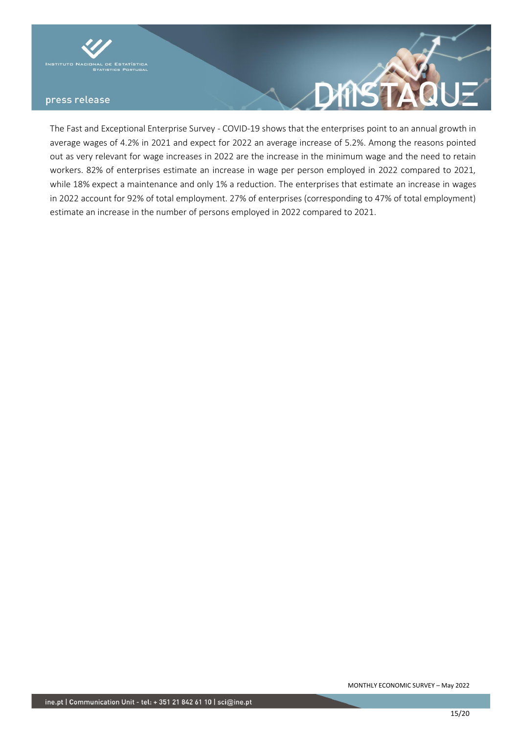



The Fast and Exceptional Enterprise Survey - COVID-19 shows that the enterprises point to an annual growth in average wages of 4.2% in 2021 and expect for 2022 an average increase of 5.2%. Among the reasons pointed out as very relevant for wage increases in 2022 are the increase in the minimum wage and the need to retain workers. 82% of enterprises estimate an increase in wage per person employed in 2022 compared to 2021, while 18% expect a maintenance and only 1% a reduction. The enterprises that estimate an increase in wages in 2022 account for 92% of total employment. 27% of enterprises (corresponding to 47% of total employment) estimate an increase in the number of persons employed in 2022 compared to 2021.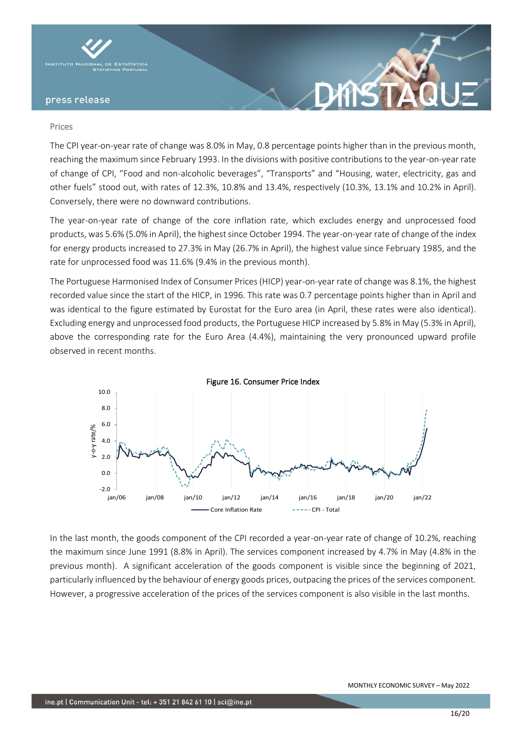

#### Prices

The CPI year-on-year rate of change was 8.0% in May, 0.8 percentage points higher than in the previous month, reaching the maximum since February 1993. In the divisions with positive contributions to the year-on-year rate of change of CPI, "Food and non-alcoholic beverages", "Transports" and "Housing, water, electricity, gas and other fuels" stood out, with rates of 12.3%, 10.8% and 13.4%, respectively (10.3%, 13.1% and 10.2% in April). Conversely, there were no downward contributions.

The year-on-year rate of change of the core inflation rate, which excludes energy and unprocessed food products, was 5.6% (5.0% in April), the highest since October 1994. The year-on-year rate of change of the index for energy products increased to 27.3% in May (26.7% in April), the highest value since February 1985, and the rate for unprocessed food was 11.6% (9.4% in the previous month).

The Portuguese Harmonised Index of Consumer Prices (HICP) year-on-year rate of change was 8.1%, the highest recorded value since the start of the HICP, in 1996. This rate was 0.7 percentage points higher than in April and was identical to the figure estimated by Eurostat for the Euro area (in April, these rates were also identical). Excluding energy and unprocessed food products, the Portuguese HICP increased by 5.8% in May (5.3% in April), above the corresponding rate for the Euro Area (4.4%), maintaining the very pronounced upward profile observed in recent months.



In the last month, the goods component of the CPI recorded a year-on-year rate of change of 10.2%, reaching the maximum since June 1991 (8.8% in April). The services component increased by 4.7% in May (4.8% in the previous month). A significant acceleration of the goods component is visible since the beginning of 2021, particularly influenced by the behaviour of energy goods prices, outpacing the prices of the services component. However, a progressive acceleration of the prices of the services component is also visible in the last months.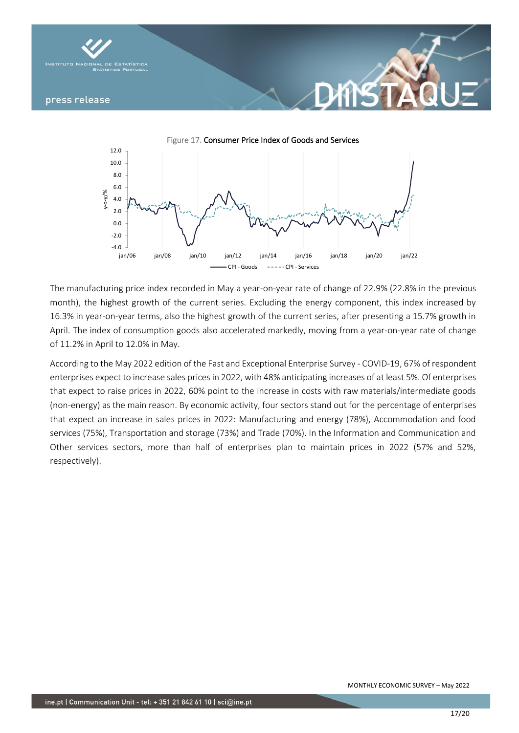



**XINS** 

The manufacturing price index recorded in May a year-on-year rate of change of 22.9% (22.8% in the previous month), the highest growth of the current series. Excluding the energy component, this index increased by 16.3% in year-on-year terms, also the highest growth of the current series, after presenting a 15.7% growth in April. The index of consumption goods also accelerated markedly, moving from a year-on-year rate of change of 11.2% in April to 12.0% in May.

According to the May 2022 edition of the Fast and Exceptional Enterprise Survey - COVID-19, 67% of respondent enterprises expect to increase sales prices in 2022, with 48% anticipating increases of at least 5%. Of enterprises that expect to raise prices in 2022, 60% point to the increase in costs with raw materials/intermediate goods (non-energy) as the main reason. By economic activity, four sectors stand out for the percentage of enterprises that expect an increase in sales prices in 2022: Manufacturing and energy (78%), Accommodation and food services (75%), Transportation and storage (73%) and Trade (70%). In the Information and Communication and Other services sectors, more than half of enterprises plan to maintain prices in 2022 (57% and 52%, respectively).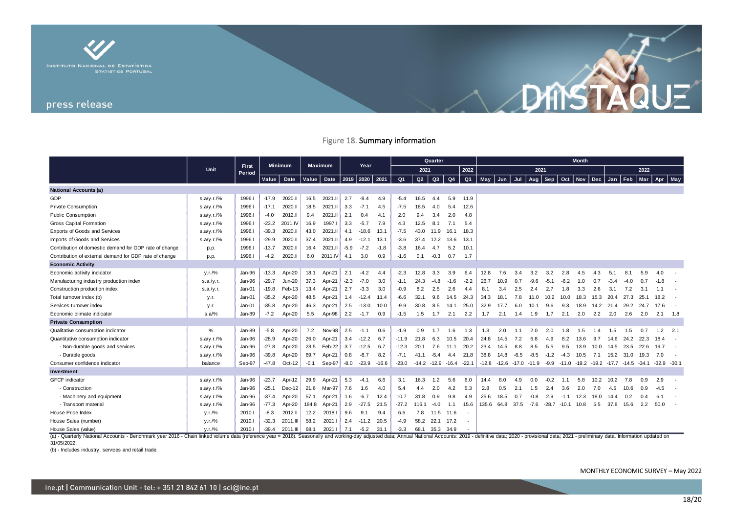

# Figure 18. Summary information

|                                                        |            |                 | <b>Minimum</b> |               | <b>Maximum</b> |          | Year   |         |         |                |       | <b>Quarter</b>          |                |                          | <b>Month</b> |                         |      |        |                                                |         |            |      |        |      |         |        |                |
|--------------------------------------------------------|------------|-----------------|----------------|---------------|----------------|----------|--------|---------|---------|----------------|-------|-------------------------|----------------|--------------------------|--------------|-------------------------|------|--------|------------------------------------------------|---------|------------|------|--------|------|---------|--------|----------------|
|                                                        | Unit       | First<br>Period |                |               |                |          |        |         |         | 2021           |       |                         |                | 2022                     | 2021         |                         |      |        |                                                |         |            | 2022 |        |      |         |        |                |
|                                                        |            |                 | Value          | Date          | <b>Value</b>   | Date     | 2019   | 2020    | 2021    | Q <sub>1</sub> | Q2    | Q <sub>3</sub>          | Q <sub>4</sub> | Q <sub>1</sub>           | May          | Jun                     | Jul  | Aug    | Sep                                            | Oct     | <b>Nov</b> | Dec  | Jan    | Feb  | Mar     | Apr    | May            |
| <b>National Accounts (a)</b>                           |            |                 |                |               |                |          |        |         |         |                |       |                         |                |                          |              |                         |      |        |                                                |         |            |      |        |      |         |        |                |
| GDP                                                    | s.a/y.r./% | 1996.1          | $-17.9$        | 2020.II       | 16.5           | 2021.II  | 2.7    | $-8.4$  | 4.9     | $-5.4$         | 16.5  | 4.4                     | 5.9            | 11.9                     |              |                         |      |        |                                                |         |            |      |        |      |         |        |                |
| <b>Private Consumption</b>                             | s.a/y.r./% | 1996.1          | $-17.1$        | 2020.II       | 18.5           | 2021.II  | 3.3    | $-7.1$  | 4.5     | $-7.5$         | 18.5  | 4.0                     | 5.4            | 12.6                     |              |                         |      |        |                                                |         |            |      |        |      |         |        |                |
| <b>Public Consumption</b>                              | s.a/y.r./% | 1996.1          | $-4.0$         | 2012.II       | 9.4            | 2021.II  | 2.1    | 0.4     | 4.1     | 2.0            | 9.4   | 3.4                     | 2.0            | 4.8                      |              |                         |      |        |                                                |         |            |      |        |      |         |        |                |
| <b>Gross Capital Formation</b>                         | s.a/y.r./% | 1996.1          | $-23.2$        | 2011.IV       | 16.9           | 1997.1   | 3.3    | $-5.7$  | 7.9     | 4.3            | 12.5  | 8.1                     | 7.1            | 5.4                      |              |                         |      |        |                                                |         |            |      |        |      |         |        |                |
| Exports of Goods and Services                          | s.a/y.r./% | 1996.I          | $-39.3$        | 2020.II       | 43.0           | 2021.II  | 4.1    | $-18.6$ | 13.1    | $-7.5$         | 43.0  | 11.9                    | 16.1           | 18.3                     |              |                         |      |        |                                                |         |            |      |        |      |         |        |                |
| Imports of Goods and Services                          | s.a/y.r./% | 1996.I          | $-29.9$        | 2020.II       | 37.4           | 2021.II  | 4.9    | $-12.1$ | 13.1    | $-3.6$         | 37.4  | 12.2                    | 13.6           | 13.1                     |              |                         |      |        |                                                |         |            |      |        |      |         |        |                |
| Contribution of domestic demand for GDP rate of change | p.p.       | 1996.1          | $-13.7$        | 2020.II       | 16.4           | 2021.II  | $-5.9$ | $-7.2$  | $-1.8$  | $-3.8$         | 16.4  | 4.7                     | 5.2            | 10.1                     |              |                         |      |        |                                                |         |            |      |        |      |         |        |                |
| Contribution of external demand for GDP rate of change | p.p.       | 1996.1          | -4.2           | 2020.II       | 6.0            | 2011.IV  | 4.1    | 3.0     | 0.9     | $-1.6$         | 0.1   | $-0.3$                  | 0.7            | 1.7                      |              |                         |      |        |                                                |         |            |      |        |      |         |        |                |
| <b>Economic Activity</b>                               |            |                 |                |               |                |          |        |         |         |                |       |                         |                |                          |              |                         |      |        |                                                |         |            |      |        |      |         |        |                |
| Economic activity indicator                            | V.r./%     | Jan-96          | $-13.3$        | Apr-20        | 18.1           | Apr-21   | 2.1    | $-4.2$  | 4.4     | $-2.3$         | 12.8  | 3.3                     | 3.9            | 6.4                      | 12.8         | 7.6                     | 3.4  | 3.2    | 3.2                                            | 2.8     | 4.5        | 4.3  | 5.1    |      | 5.9     | 4.0    |                |
| Manufacturing industry production index                | s.a./y.r.  | Jan-96          | $-29.7$        | <b>Jun-20</b> | 37.3           | Apr-21   | $-2.3$ | $-7.0$  | 3.0     | $-1.1$         | 24.3  | $-4.8$                  | $-1.6$         | $-2.2$                   | 26.7         | 10.9                    | 0.7  | -9.6   | $-5.1$                                         | $-6.2$  | 1.0        | 0.7  | $-3.4$ |      | 0.7     | $-1.8$ |                |
| Construction production index                          | s.a./y.r.  | Jan-01          | $-19.8$        | Feb-13        | 13.4           | Apr-21   | 2.7    | $-3.3$  | 3.0     | $-0.9$         | 8.2   | 2.5                     | 2.6            | 4.4                      | 8.1          | 3.4                     | 2.5  | 2.4    | 2.7                                            | 1.8     | 3.3        | 2.6  | 3.1    | 7.2  | 3.1     | 1.1    |                |
| Total turnover index (b)                               | y.r.       | Jan-01          | $-35.2$        | Apr-20        | 48.5           | Apr-21   | 1.4    | $-12.4$ | 11.4    | $-6.6$         | 32.1  | 9.6                     | 14.5           | 24.3                     | 34.3         | 18.1                    | 7.8  | 11.0   | 10.2                                           | 10.0    | 18.3       | 15.3 | 20.4   | 27.3 | 25.1    | 18.2   |                |
| Services turnover index                                | y.r.       | Jan-01          | $-35.8$        | Apr-20        | 46.3           | Apr-21   | 2.5    | $-13.0$ | 10.0    | $-9.9$         | 30.8  | 8.5                     | 14.7           | 25.0                     | 32.9         | 17.7                    | 6.0  | 10.1   | 9.6                                            | 9.3     | 18.9       | 14.2 | 21.4   | 29.2 | 24.7    | 17.6   | $\sim$         |
| Economic climate indicator                             | $s.a/\%$   | Jan-89          | $-7.2$         | Apr-20        | 5.5            | Apr-98   | 2.2    | $-1.7$  | 0.9     | $-1.5$         | 1.5   | 1.7                     | 2.1            | 2.2                      | 1.7          | 2.1                     | 1.4  | 1.9    | 1.7                                            | 2.1     | 2.0        | 2.2  | 2.0    | 2.6  | 2.0     | 2.1    | 1.8            |
| <b>Private Consumption</b>                             |            |                 |                |               |                |          |        |         |         |                |       |                         |                |                          |              |                         |      |        |                                                |         |            |      |        |      |         |        |                |
| Qualitative consumption indicator                      | %          | Jan-89          | $-5.8$         | Apr-20        | 7.2            | Nov-98   | 2.5    | $-1.1$  | 0.6     | $-1.9$         | 0.9   | 1.7                     | 1.6            | 1.3                      | 1.3          | 2.0                     | 1.1  | 2.0    | 2.0                                            | 1.8     | 1.5        | 1.4  | 1.5    | 1.5  | 0.7     | 1.2    | 2.1            |
| Quantitative consumption indicator                     | s.a/y.r./% | Jan-96          | $-28.9$        | Apr-20        | 26.0           | Apr-21   | 3.4    | $-12.2$ | 6.7     | $-11.9$        | 21.8  | 6.3                     | 10.5           | 20.4                     | 24.8         | 14.5                    | 7.2  | 6.8    | 4.9                                            | 8.2     | 13.6       | 9.7  | 14.6   | 24.2 | 22.3    | 18.4   |                |
| - Non-durable goods and services                       | s.a/y.r./% | Jan-96          | $-27.8$        | Apr-20        | 23.5           | $Feb-22$ | 3.7    | $-12.5$ | 6.7     | $-12.3$        | 20.1  | 7.6                     | 11.1           | 20.2                     | 23.4         | 14.5                    | 8.8  | 8.5    | 5.5                                            | 9.5     | 13.9       | 10.0 | 14.5   | 23.5 | 22.6    | 19.7   |                |
| - Durable goods                                        | s.a/y.r./% | Jan-96          | $-39.8$        | Apr-20        | 69.7           | Apr-21   | 0.8    | $-8.7$  | 8.2     | $-7.1$         | 41.1  | $-5.4$                  | 4.4            | 21.8                     | 38.8         | 14.8                    | -6.5 | -8.5   | $-1.2$                                         | $-4.3$  | 10.5       | 7.1  | 15.2   | 31.0 | 19.3    | 7.0    |                |
| Consumer confidence indicator                          | balance    | Sep-97          | $-47.8$        | Oct-12        | $-0.1$         | Sep-97   | $-8.0$ | $-23.9$ | $-16.6$ | $-23.0$        |       | $-14.2$ $-12.9$ $-16.4$ |                | $-22.1$                  | $-12.8$      | $-12.6$ $-17.0$ $-11.9$ |      |        | $-9.9$ $-11.0$ $-19.2$ $-19.2$ $-17.7$ $-14.5$ |         |            |      |        |      | $-34.1$ |        | $-32.9 - 30.1$ |
| Investment                                             |            |                 |                |               |                |          |        |         |         |                |       |                         |                |                          |              |                         |      |        |                                                |         |            |      |        |      |         |        |                |
| <b>GFCF</b> indicator                                  | s.a/y.r./% | Jan-96          | $-23.7$        | Apr-12        | 29.9           | Apr-21   | 5.3    | $-4.1$  | 6.6     | 3.1            | 16.3  | 1.2                     | 5.6            | 6.0                      | 14.4         | 8.0                     | 4.9  | 0.0    | $-0.2$                                         | 1.1     | 5.8        | 10.2 | 10.2   | 7.8  | 0.9     | 2.9    |                |
| - Construction                                         | s.a/y.r./% | Jan-96          | $-25.1$        | Dec-12        | 21.6           | Mar-97   | 7.6    | 1.6     | 4.0     | 5.4            | 4.4   | 2.0                     | 4.2            | 5.3                      | 2.8          | 0.5                     | 2.1  | 1.5    | 2.4                                            | 3.6     | 2.0        | 7.0  | 4.5    | 10.6 | 0.9     | $-4.5$ |                |
| - Machinery and equipment                              | s.a/y.r./% | Jan-96          | $-37.4$        | Apr-20        | 57.1           | Apr-21   | 1.6    | $-6.7$  | 12.4    | 10.7           | 31.8  | 0.9                     | 9.8            | 4.9                      | 25.6         | 18.5                    | 0.7  | $-0.8$ | 2.9                                            | $-1.1$  | 12.3       | 18.0 | 14.4   | 0.2  | 0.4     | 6.1    |                |
| - Transport material                                   | s.a/y.r./% | Jan-96          | $-77.3$        | Apr-20        | 184.8          | Apr-21   | 2.9    | $-27.5$ | 21.5    | $-27.2$        | 116.1 | $-4.0$                  | 1.1            | 15.6                     | 135.6        | 64.8                    | 37.5 | -7.6   | $-28.7$                                        | $-10.1$ | 10.8       | 5.5  | 37.8   | 15.6 | 2.2     | 50.0   |                |
| House Price Index                                      | v.r./%     | 2010.1          | $-8.3$         | 2012.II       | 12.2           | 2018.    | 9.6    | 9.1     | 9.4     | 6.6            | 7.8   | 11.5                    | 11.6           |                          |              |                         |      |        |                                                |         |            |      |        |      |         |        |                |
| House Sales (number)                                   | V.r./%     | 2010.1          | $-32.3$        | 2011.III      | 58.2           | 2021.    | 2.4    | $-11.2$ | 20.5    | $-4.9$         | 58.2  | 22.1 17.2               |                | $\overline{\phantom{a}}$ |              |                         |      |        |                                                |         |            |      |        |      |         |        |                |
| House Sales (value)                                    | V.r./%     | 2010.1          | $-39.4$        | 2011.III      | 68.1           | 2021.I   | 7.1    | $-5.2$  | 31.1    | $-3.3$         |       | 68.1 35.3 34.9          |                | $\sim$                   |              |                         |      |        |                                                |         |            |      |        |      |         |        |                |

(a) - Quarterly National Accounts - Benchmark year 2016 - Chain linked volume data (reference year = 2016). Seasonally and working-day adjusted data; Annual National Accounts: 2019 - definitive data; 2020 - provisional dat 31/05/2022.

(b) - Includes industry, services and retail trade.

DINSTAGUE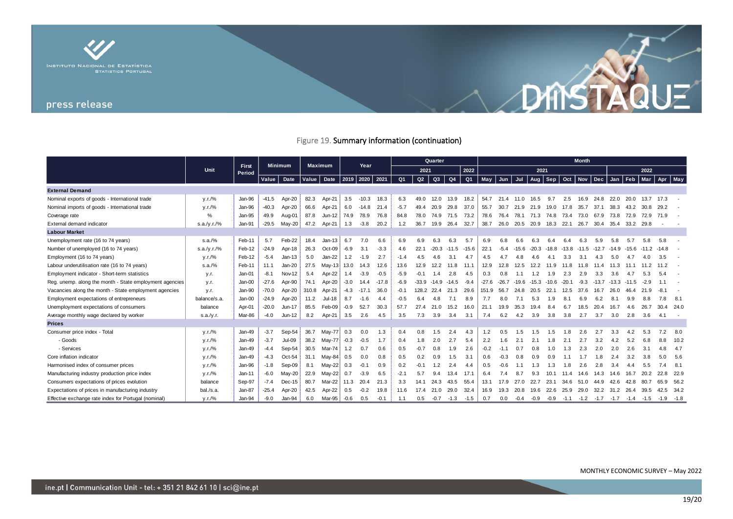

# Figure 19. Summary information (continuation)

|                                                         |              |                 | Minimum |               | <b>Maximum</b> |           |        |         |         |                | Quarter |         |                | <b>Month</b>   |         |               |                |                |       |         |                |                |      |                                           |         |               |           |
|---------------------------------------------------------|--------------|-----------------|---------|---------------|----------------|-----------|--------|---------|---------|----------------|---------|---------|----------------|----------------|---------|---------------|----------------|----------------|-------|---------|----------------|----------------|------|-------------------------------------------|---------|---------------|-----------|
|                                                         | Unit         | First<br>Period |         |               |                |           | Year   |         |         | 2021           |         |         | 2022           | 2021           |         |               |                |                |       |         |                | 2022           |      |                                           |         |               |           |
|                                                         |              |                 | Value   | Date          | Value          | Date 2019 |        | 2020    | 2021    | Q <sub>1</sub> | Q2      | Q3      | Q4             | Q <sub>1</sub> | May     | Jun Jul       |                | Aug            | Sep   |         |                | Oct Nov Dec    | Jan  | Feb                                       |         | Mar Apr       | May       |
| <b>External Demand</b>                                  |              |                 |         |               |                |           |        |         |         |                |         |         |                |                |         |               |                |                |       |         |                |                |      |                                           |         |               |           |
| Nominal exports of goods - International trade          | V.r./%       | Jan-96          | $-41.5$ | Apr-20        | 82.3           | Apr-21    | 3.5    | $-10.3$ | 18.3    | 6.3            | 49.0    | 12.0    | 13.9           | 18.2           | 54.7    | 21.4          | 11.0           | 16.5           | 9.7   | 2.5     | 16.9           | 24.8           | 22.0 | 20.0                                      | 13.7    | 17.3          |           |
| Nominal imports of goods - International trade          | V.r./%       | Jan-96          | $-40.3$ | Apr-20        | 66.6           | Apr-21    | 6.0    | $-14.8$ | 21.4    | $-5.7$         | 49.4    | 20.9    | 29.8           | 37.0           | 55.7    | 30.7          | 21.9           | 21.9           | 19.0  | 17.8    | 35.7           | 37.1           | 38.3 | 43.2                                      | 30.8    | 29.2          |           |
| Coverage rate                                           | %            | Jan-95          | 49.9    | Aug-01        | 87.8           | Jun-12    | 74.9   | 78.9    | 76.8    | 84.8           | 78.0    | 74.9    | 71.5           | 73.2           | 78.6    | 76.4          | 78.1 71.3 74.8 |                |       | 73.4    | 73.0           | 67.9           | 73.8 | 72.9                                      | 72.9    | 71.9          |           |
| External demand indicator                               | s.a./y.r./%  | Jan-91          | $-29.5$ | $May-20$      | 47.2           | Apr-21    | 1.3    | $-3.8$  | 20.2    | 1.2            | 36.7    | 19.9    | 26.4           | 32.7           | 38.7    | 26.0          | 20.5 20.9 18.3 |                |       | 22.1    | 26.7           | 30.4 35.4      |      | 33.2 29.8                                 |         |               |           |
| <b>Labour Market</b>                                    |              |                 |         |               |                |           |        |         |         |                |         |         |                |                |         |               |                |                |       |         |                |                |      |                                           |         |               |           |
| Unemployment rate (16 to 74 years)                      | s.a./%       | Feb-11          | 5.7     | Feb-22        | 18.4           | Jan-13    | 6.7    | 7.0     | 6.6     | 6.9            | 6.9     | 6.3     | 6.3            | 5.7            | 6.9     | 6.8           | 6.6            | 6.3            | 6.4   | 6.4     | 6.3            | 5.9            | 5.8  | 5.7                                       | 5.8     | 5.8           |           |
| Number of unemployed (16 to 74 years)                   | s.a./y.r./%  | Feb-12          | $-24.9$ | Apr-18        | 26.3           | Oct-09    | $-6.9$ | 3.1     | $-3.3$  | 4.6            | 22.1    | $-20.3$ | $-11.5$        | $-15.6$        | 22.1    | $-5.4$        | $-15.6$        | $-20.3$        | -18.8 |         | $-13.8 - 11.5$ | -12.7 -14.9    |      | -15.6                                     | $-11.2$ | $-14.8$       |           |
| Employment (16 to 74 years)                             | V.r./%       | Feb-12          | $-5.4$  | $Jan-13$      | 5.0            | Jan-22    | 1.2    | $-1.9$  | 2.7     | $-1.4$         | 4.5     | 4.6     | 3.1            | 4.7            | 4.5     | 4.7           | 4.8            | 4.6            | 4.1   | 3.3     | 3.1            | 4.3            | 5.0  |                                           | 4.0     | 3.5           |           |
| Labour underutilisation rate (16 to 74 years)           | s.a./%       | Feb-11          | 11.1    | $Jan-20$      | 27.5           | May-13    | 13.0   | 14.3    | 12.6    | 13.6           | 12.9    | 12.2    | 11.8           | 11.1           | 12.9    | 12.8          | 12.5           | 12.2           | 11.9  | 11.8    | 11.8           |                |      |                                           |         | -11           |           |
| Employment indicator - Short-term statistics            | y.r.         | Jan-01          | $-8.1$  | Nov-12        | 5.4            | Apr-22    | 1.4    | $-3.9$  | $-0.5$  | $-5.9$         | $-0.1$  | 1.4     | 2.8            | 4.5            | 0.3     | 0.8           |                | 1.2            | 1.9   | 2.3     | 2.9            | 3.3            | 3.6  |                                           |         |               |           |
| Reg. unemp. along the month - State employment agencies | y.r.         | Jan-00          | $-27.6$ | Apr-90        | 74.1           | Apr-20    | $-3.0$ | 14.4    | $-17.8$ | $-6.9$         | -33.9   |         | $-14.9 - 14.5$ | $-9.4$         | $-27.6$ | $-26.7 -19.6$ |                | $-15.3 - 10.6$ |       | $-20.1$ | $-9.3$         | $-13.7 - 13.3$ |      | $-11.5$                                   | $-2.9$  |               |           |
| Vacancies along the month - State employment agencies   | y.r.         | Jan-90          | $-70.0$ | Apr-20        | 310.8          | Apr-21    | $-4.3$ | $-17.1$ | 36.0    | $-0.1$         | 128.2   | 22.4    | 21.3           | 29.6           | 151.9   | 56.7          | 24.8           | 20.5           | 22.1  | 12.5    | 37.6           | 16.7           | 26.0 | 46.4                                      | 21.9    |               |           |
| Employment expectations of entrepreneurs                | balance/s.a. | Jan-00          | $-24.9$ | Apr-20        | 11.2           | Jul-18    | 8.7    | $-1.6$  | 4.4     | $-0.5$         |         | 4.8     | 7.1            | 8.9            | 7.7     | 8.0           |                | 5.3            |       |         | 6.9            | 6.2            |      | 9.9                                       |         |               | 8.1       |
| Unemployment expectations of consumers                  | balance      | Apr-01          | $-20.0$ | $Jun-17$      | 85.5           | Feb-09    | $-0.9$ | 52.7    | 30.3    | 57.7           | 27.4    | 21.0    | 15.2           | 16.0           | 21.1    | 19.9          | 35.3           | 19.4           | 8.4   | 6.7     | 18.5           | 20.4           | 16.7 | 4.6                                       | 26.7    |               | 30.4 24.0 |
| Average monthly wage declared by worker                 | s.a./y.r.    | Mar-86          | $-4.0$  | $Jun-12$      | 8.2            | Apr-21    | 3.5    | 2.6     | 4.5     | 3.5            | 7.3     | 3.9     | 3.4            | 3.1            | 7.4     | 6.2           | 4.2            | 3.9            | 3.8   | 3.8     | 2.7            | 3.7            | 3.0  | 2.8                                       | 3.6     | 4.1           |           |
| <b>Prices</b>                                           |              |                 |         |               |                |           |        |         |         |                |         |         |                |                |         |               |                |                |       |         |                |                |      |                                           |         |               |           |
| Consumer price index - Total                            | V.r./%       | Jan-49          | $-3.7$  | Sep-54        | 36.7           | May-77    | 0.3    | 0.0     | 1.3     | 0.4            | 0.8     | 1.5     | 2.4            | 4.3            | 1.2     |               |                |                |       |         |                |                |      |                                           |         |               | -8.0      |
| - Goods                                                 | V.r./%       | $Jan-49$        | $-3.7$  | <b>Jul-09</b> | 38.2           | May-77    | $-0.3$ | $-0.5$  | 1.7     | 0.4            | 1.8     | 2.0     | 2.7            | 5.4            | 2.2     | 1.6           |                | 2.             |       |         |                | 3.2            |      | 5.2                                       | 6.8     |               | 10.2      |
| - Services                                              | V.r./%       | $Jan-49$        | -4.4    | Sep-54        | 30.5           | Mar-74    | 1.2    | 0.7     | 0.6     | 0.5            | $-0.7$  | 0.8     | 1.9            | 2.6            | $-0.2$  | $-1.1$        | 0.7            | 0.8            | 1.0   | 1.3     | 2.3            | 2.0            | 2.0  | 2.6                                       | 3.1     | 48            | 4.7       |
| Core inflation indicator                                | v.r./%       | Jan-49          | $-4.3$  | Oct-54        | 31.1           | May-84    | 0.5    | 0.0     | 0.8     | 0.5            | 0.2     | 0.9     | 1.5            | 3.1            | 0.6     | -0.3          | 0.8            | 09             |       |         |                | 1.8            |      | 3.2                                       | 3.8     |               | - 5.6     |
| Harmonised index of consumer prices                     | v.r./%       | Jan-96          | $-1.8$  | Sep-09        | 8.1            | Mav-22    | 0.3    | $-0.1$  | 0.9     | 0.2            | $-0.1$  | 1.2     | 2.4            | 4.4            | 0.5     |               |                | 1.3            | ∣.3   | 1.8     | 2.6            | 2.8            |      |                                           | 5.5     | 7.4           | 8.1       |
| Manufacturing industry production price index           | V.r./%       | Jan-11          | $-6.0$  | $May-20$      | 22.9           | May-22    | 0.7    | $-3.9$  | 6.5     | $-2.7$         | 5.7     | 9.4     | 13.4           | 17.1           | 6.4     | 7.4           | 8.7            | 9.3            | 10.1  | 114     | 14.6           | 14.3           | 14.6 | 16.7                                      | 20.2    |               | 22.8 22.9 |
| Consumers expectations of prices evolution              | balance      | Sep-97          | $-7.4$  | Dec-15        | 80.7           | Mar-22    | 11.3   | 20.4    | 21.3    | 3.3            | 14.1    | 24.3    | 43.5           | 55.4           | 13.1    | 17.9          | 27.0           | 22.7           | 23.1  | 34.6    | 51.0           | 44.9           | 42.6 | 42.8                                      | 80.7    |               | 65.9 56.2 |
| Expectations of prices in manufacturing industry        | bal./s.a.    | Jan-87          | $-25.4$ | Apr-20        | 42.5           | Apr-22    | 0.5    | $-0.2$  | 19.8    | 11.6           | 17.4    | 21.0    | 29.0           | 32.4           | 16.9    | 19.3          | 20.8           | 19.6           | 22.6  | 25.9    | 29.0           | 32.2           | 31.2 | 26.4                                      | 39.5    |               | 42.5 34.2 |
| Effective exchange rate index for Portugal (nominal)    | V.r./%       | Jan-94          | $-9.0$  | Jan-94        | 6.0            | Mar-95    | $-0.6$ | 0.5     | $-0.1$  | 1.1            | 0.5     | $-0.7$  | $-1.3$         | $-1.5$         | 0.7     | 0.0           | $-0.4$         | $-0.9 - 0.9$   |       |         |                |                |      | $-1.1$ $-1.2$ $-1.7$ $-1.7$ $-1.4$ $-1.5$ |         | $-1.9$ $-1.8$ |           |

DINSTAQUE